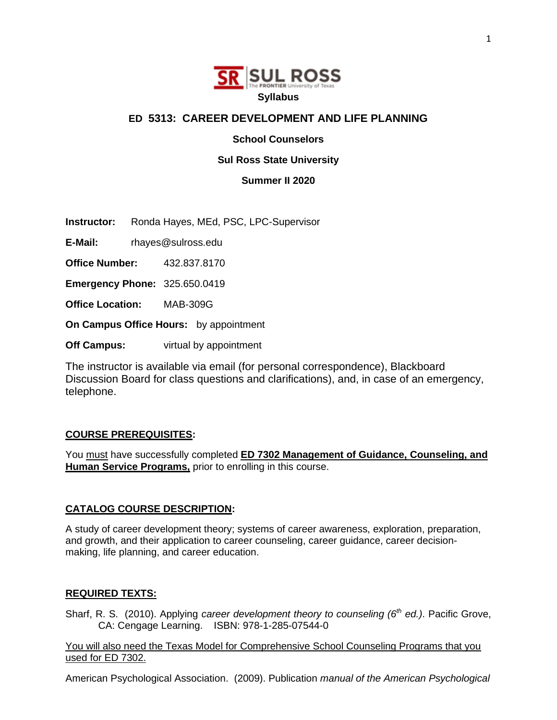

## **ED 5313: CAREER DEVELOPMENT AND LIFE PLANNING**

**School Counselors** 

### **Sul Ross State University**

**Summer II 2020**

**Instructor:** Ronda Hayes, MEd, PSC, LPC-Supervisor

**E-Mail:** rhayes@sulross.edu

**Office Number:** 432.837.8170

**Emergency Phone:** 325.650.0419

**Office Location:** MAB-309G

**On Campus Office Hours:** by appointment

**Off Campus:** virtual by appointment

The instructor is available via email (for personal correspondence), Blackboard Discussion Board for class questions and clarifications), and, in case of an emergency, telephone.

#### **COURSE PREREQUISITES:**

You must have successfully completed **ED 7302 Management of Guidance, Counseling, and Human Service Programs,** prior to enrolling in this course.

#### **CATALOG COURSE DESCRIPTION:**

A study of career development theory; systems of career awareness, exploration, preparation, and growth, and their application to career counseling, career guidance, career decisionmaking, life planning, and career education.

#### **REQUIRED TEXTS:**

Sharf, R. S. (2010). Applying *career development theory to counseling (6<sup>th</sup> ed.)*. Pacific Grove, CA: Cengage Learning. ISBN: 978-1-285-07544-0

You will also need the Texas Model for Comprehensive School Counseling Programs that you used for ED 7302.

American Psychological Association. (2009). Publication *manual of the American Psychological*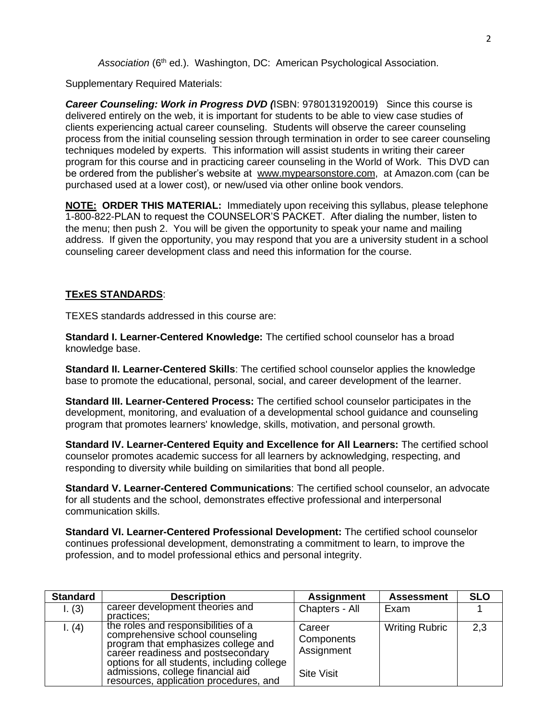*Association* (6th ed.). Washington, DC: American Psychological Association.

Supplementary Required Materials:

*Career Counseling: Work in Progress DVD (*ISBN: 9780131920019) Since this course is delivered entirely on the web, it is important for students to be able to view case studies of clients experiencing actual career counseling. Students will observe the career counseling process from the initial counseling session through termination in order to see career counseling techniques modeled by experts. This information will assist students in writing their career program for this course and in practicing career counseling in the World of Work. This DVD can be ordered from the publisher's website at www.mypearsonstore.com, at Amazon.com (can be purchased used at a lower cost), or new/used via other online book vendors.

**NOTE: ORDER THIS MATERIAL:** Immediately upon receiving this syllabus, please telephone 1-800-822-PLAN to request the COUNSELOR'S PACKET. After dialing the number, listen to the menu; then push 2. You will be given the opportunity to speak your name and mailing address. If given the opportunity, you may respond that you are a university student in a school counseling career development class and need this information for the course.

# **TExES STANDARDS**:

TEXES standards addressed in this course are:

**Standard I. Learner-Centered Knowledge:** The certified school counselor has a broad knowledge base.

**Standard II. Learner-Centered Skills**: The certified school counselor applies the knowledge base to promote the educational, personal, social, and career development of the learner.

**Standard III. Learner-Centered Process:** The certified school counselor participates in the development, monitoring, and evaluation of a developmental school guidance and counseling program that promotes learners' knowledge, skills, motivation, and personal growth.

**Standard IV. Learner-Centered Equity and Excellence for All Learners:** The certified school counselor promotes academic success for all learners by acknowledging, respecting, and responding to diversity while building on similarities that bond all people.

**Standard V. Learner-Centered Communications**: The certified school counselor, an advocate for all students and the school, demonstrates effective professional and interpersonal communication skills.

**Standard VI. Learner-Centered Professional Development:** The certified school counselor continues professional development, demonstrating a commitment to learn, to improve the profession, and to model professional ethics and personal integrity.

| <b>Standard</b> | <b>Description</b>                                                                                                                                                                                 | <b>Assignment</b>                  | <b>Assessment</b>     | <b>SLO</b> |
|-----------------|----------------------------------------------------------------------------------------------------------------------------------------------------------------------------------------------------|------------------------------------|-----------------------|------------|
| 1. (3)          | career development theories and<br>practices:                                                                                                                                                      | Chapters - All                     | Exam                  |            |
| 1. (4)          | the roles and responsibilities of a<br>comprehensive school counseling<br>program that emphasizes college and<br>career readiness and postsecondary<br>options for all students, including college | Career<br>Components<br>Assignment | <b>Writing Rubric</b> | 2,3        |
|                 | admissions, college financial aid<br>resources, application procedures, and                                                                                                                        | <b>Site Visit</b>                  |                       |            |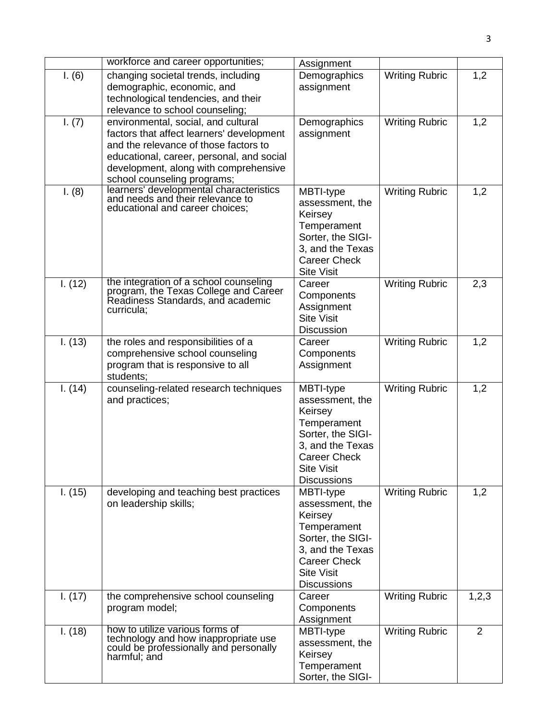|         | workforce and career opportunities;                                                                                                                                                                                                            | Assignment                                                                                                                                                        |                       |                |
|---------|------------------------------------------------------------------------------------------------------------------------------------------------------------------------------------------------------------------------------------------------|-------------------------------------------------------------------------------------------------------------------------------------------------------------------|-----------------------|----------------|
| I. (6)  | changing societal trends, including<br>demographic, economic, and<br>technological tendencies, and their<br>relevance to school counseling;                                                                                                    | Demographics<br>assignment                                                                                                                                        | <b>Writing Rubric</b> | 1,2            |
| I. (7)  | environmental, social, and cultural<br>factors that affect learners' development<br>and the relevance of those factors to<br>educational, career, personal, and social<br>development, along with comprehensive<br>school counseling programs; | Demographics<br>assignment                                                                                                                                        | <b>Writing Rubric</b> | 1,2            |
| I. (8)  | learners' developmental characteristics<br>and needs and their relevance to<br>educational and career choices;                                                                                                                                 | MBTI-type<br>assessment, the<br>Keirsey<br>Temperament<br>Sorter, the SIGI-<br>3, and the Texas<br><b>Career Check</b><br><b>Site Visit</b>                       | <b>Writing Rubric</b> | 1,2            |
| I. (12) | the integration of a school counseling<br>program, the Texas College and Career<br>Readiness Standards, and academic<br>curricula;                                                                                                             | Career<br>Components<br>Assignment<br><b>Site Visit</b><br><b>Discussion</b>                                                                                      | <b>Writing Rubric</b> | 2,3            |
| I. (13) | the roles and responsibilities of a<br>comprehensive school counseling<br>program that is responsive to all<br>students;                                                                                                                       | Career<br>Components<br>Assignment                                                                                                                                | Writing Rubric        | 1,2            |
| I. (14) | counseling-related research techniques<br>and practices;                                                                                                                                                                                       | MBTI-type<br>assessment, the<br>Keirsey<br>Temperament<br>Sorter, the SIGI-<br>3, and the Texas<br><b>Career Check</b><br><b>Site Visit</b><br><b>Discussions</b> | <b>Writing Rubric</b> | 1,2            |
| I. (15) | developing and teaching best practices<br>on leadership skills;                                                                                                                                                                                | MBTI-type<br>assessment, the<br>Keirsey<br>Temperament<br>Sorter, the SIGI-<br>3, and the Texas<br><b>Career Check</b><br><b>Site Visit</b><br><b>Discussions</b> | <b>Writing Rubric</b> | 1,2            |
| I. (17) | the comprehensive school counseling<br>program model;                                                                                                                                                                                          | Career<br>Components<br>Assignment                                                                                                                                | <b>Writing Rubric</b> | 1,2,3          |
| I. (18) | how to utilize various forms of<br>technology and how inappropriate use<br>could be professionally and personally<br>harmful; and                                                                                                              | MBTI-type<br>assessment, the<br>Keirsey<br>Temperament<br>Sorter, the SIGI-                                                                                       | <b>Writing Rubric</b> | $\overline{2}$ |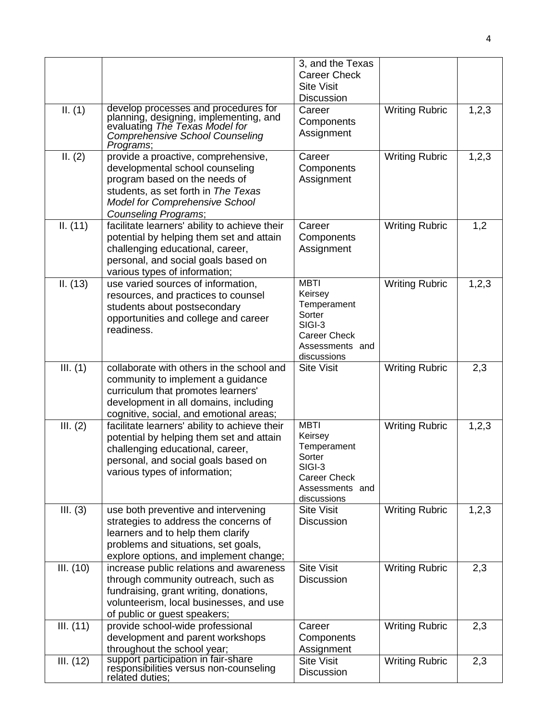|           |                                                                                                                                                                                                                        | 3, and the Texas<br><b>Career Check</b><br><b>Site Visit</b><br><b>Discussion</b>                                  |                       |         |
|-----------|------------------------------------------------------------------------------------------------------------------------------------------------------------------------------------------------------------------------|--------------------------------------------------------------------------------------------------------------------|-----------------------|---------|
| II. (1)   | develop processes and procedures for<br>planning, designing, implementing, and<br>evaluating The Texas Model for<br><b>Comprehensive School Counseling</b><br>Programs;                                                | Career<br>Components<br>Assignment                                                                                 | <b>Writing Rubric</b> | 1,2,3   |
| II. (2)   | provide a proactive, comprehensive,<br>developmental school counseling<br>program based on the needs of<br>students, as set forth in The Texas<br><b>Model for Comprehensive School</b><br><b>Counseling Programs;</b> | Career<br>Components<br>Assignment                                                                                 | <b>Writing Rubric</b> | 1,2,3   |
| II. (11)  | facilitate learners' ability to achieve their<br>potential by helping them set and attain<br>challenging educational, career,<br>personal, and social goals based on<br>various types of information;                  | Career<br>Components<br>Assignment                                                                                 | <b>Writing Rubric</b> | 1,2     |
| II. (13)  | use varied sources of information,<br>resources, and practices to counsel<br>students about postsecondary<br>opportunities and college and career<br>readiness.                                                        | <b>MBTI</b><br>Keirsey<br>Temperament<br>Sorter<br>SIGI-3<br>Career Check<br>Assessments and<br>discussions        | <b>Writing Rubric</b> | 1,2,3   |
| III. (1)  | collaborate with others in the school and<br>community to implement a guidance<br>curriculum that promotes learners'<br>development in all domains, including<br>cognitive, social, and emotional areas;               | <b>Site Visit</b>                                                                                                  | <b>Writing Rubric</b> | 2,3     |
| III. (2)  | facilitate learners' ability to achieve their<br>potential by helping them set and attain<br>challenging educational, career,<br>personal, and social goals based on<br>various types of information;                  | <b>MBTI</b><br>Keirsey<br>Temperament<br>Sorter<br>SIGI-3<br><b>Career Check</b><br>Assessments and<br>discussions | <b>Writing Rubric</b> | 1, 2, 3 |
| III. (3)  | use both preventive and intervening<br>strategies to address the concerns of<br>learners and to help them clarify<br>problems and situations, set goals,<br>explore options, and implement change;                     | <b>Site Visit</b><br><b>Discussion</b>                                                                             | <b>Writing Rubric</b> | 1,2,3   |
| III. (10) | increase public relations and awareness<br>through community outreach, such as<br>fundraising, grant writing, donations,<br>volunteerism, local businesses, and use<br>of public or guest speakers;                    | <b>Site Visit</b><br><b>Discussion</b>                                                                             | <b>Writing Rubric</b> | 2,3     |
| III. (11) | provide school-wide professional<br>development and parent workshops<br>throughout the school year;                                                                                                                    | Career<br>Components<br>Assignment                                                                                 | <b>Writing Rubric</b> | 2,3     |
| III. (12) | support participation in fair-share<br>responsibilities versus non-counseling<br>related duties;                                                                                                                       | <b>Site Visit</b><br><b>Discussion</b>                                                                             | <b>Writing Rubric</b> | 2,3     |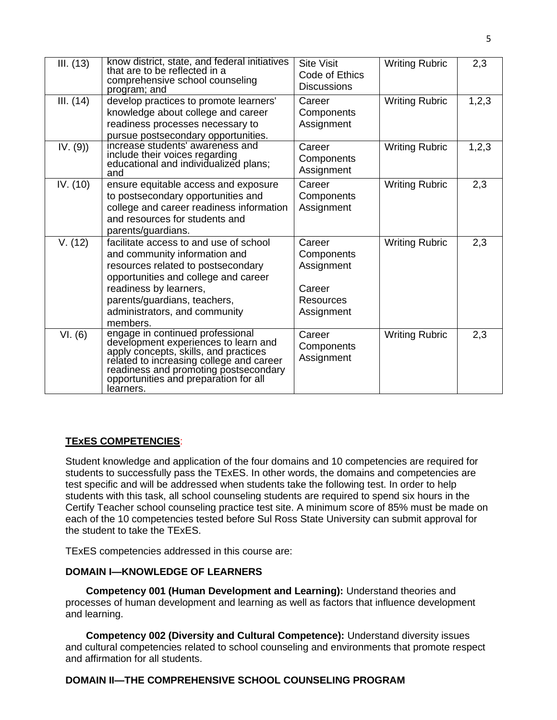| III. (13) | know district, state, and federal initiatives<br>that are to be reflected in a<br>comprehensive school counseling<br>program; and                                                                                                                            | <b>Site Visit</b><br>Code of Ethics<br><b>Discussions</b>                      | <b>Writing Rubric</b> | 2,3   |
|-----------|--------------------------------------------------------------------------------------------------------------------------------------------------------------------------------------------------------------------------------------------------------------|--------------------------------------------------------------------------------|-----------------------|-------|
| III. (14) | develop practices to promote learners'<br>knowledge about college and career<br>readiness processes necessary to<br>pursue postsecondary opportunities.                                                                                                      | Career<br>Components<br>Assignment                                             | <b>Writing Rubric</b> | 1,2,3 |
| IV. (9)   | increase students' awareness and<br>include their voices regarding<br>educational and individualized plans;<br>and                                                                                                                                           | Career<br>Components<br>Assignment                                             | <b>Writing Rubric</b> | 1,2,3 |
| IV. (10)  | ensure equitable access and exposure<br>to postsecondary opportunities and<br>college and career readiness information<br>and resources for students and<br>parents/guardians.                                                                               | Career<br>Components<br>Assignment                                             | <b>Writing Rubric</b> | 2,3   |
| V. (12)   | facilitate access to and use of school<br>and community information and<br>resources related to postsecondary<br>opportunities and college and career<br>readiness by learners,<br>parents/guardians, teachers,<br>administrators, and community<br>members. | Career<br>Components<br>Assignment<br>Career<br><b>Resources</b><br>Assignment | <b>Writing Rubric</b> | 2,3   |
| VI. (6)   | engage in continued professional<br>development experiences to learn and<br>apply concepts, skills, and practices<br>related to increasing college and career<br>readiness and promoting postsecondary<br>opportunities and preparation for all<br>learners. | Career<br>Components<br>Assignment                                             | <b>Writing Rubric</b> | 2,3   |

## **TExES COMPETENCIES**:

Student knowledge and application of the four domains and 10 competencies are required for students to successfully pass the TExES. In other words, the domains and competencies are test specific and will be addressed when students take the following test. In order to help students with this task, all school counseling students are required to spend six hours in the Certify Teacher school counseling practice test site. A minimum score of 85% must be made on each of the 10 competencies tested before Sul Ross State University can submit approval for the student to take the TExES.

TExES competencies addressed in this course are:

### **DOMAIN I—KNOWLEDGE OF LEARNERS**

**Competency 001 (Human Development and Learning):** Understand theories and processes of human development and learning as well as factors that influence development and learning.

**Competency 002 (Diversity and Cultural Competence):** Understand diversity issues and cultural competencies related to school counseling and environments that promote respect and affirmation for all students.

## **DOMAIN II—THE COMPREHENSIVE SCHOOL COUNSELING PROGRAM**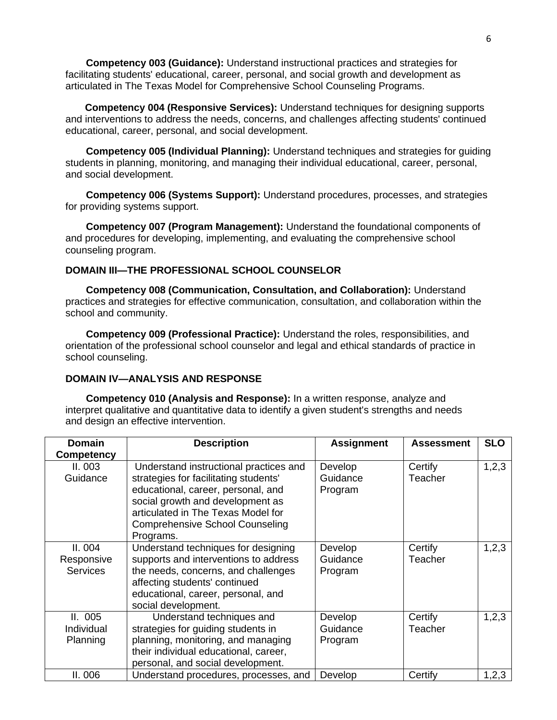**Competency 003 (Guidance):** Understand instructional practices and strategies for facilitating students' educational, career, personal, and social growth and development as articulated in The Texas Model for Comprehensive School Counseling Programs.

 **Competency 004 (Responsive Services):** Understand techniques for designing supports and interventions to address the needs, concerns, and challenges affecting students' continued educational, career, personal, and social development.

**Competency 005 (Individual Planning):** Understand techniques and strategies for guiding students in planning, monitoring, and managing their individual educational, career, personal, and social development.

**Competency 006 (Systems Support):** Understand procedures, processes, and strategies for providing systems support.

**Competency 007 (Program Management):** Understand the foundational components of and procedures for developing, implementing, and evaluating the comprehensive school counseling program.

### **DOMAIN III—THE PROFESSIONAL SCHOOL COUNSELOR**

**Competency 008 (Communication, Consultation, and Collaboration):** Understand practices and strategies for effective communication, consultation, and collaboration within the school and community.

**Competency 009 (Professional Practice):** Understand the roles, responsibilities, and orientation of the professional school counselor and legal and ethical standards of practice in school counseling.

#### **DOMAIN IV—ANALYSIS AND RESPONSE**

**Competency 010 (Analysis and Response):** In a written response, analyze and interpret qualitative and quantitative data to identify a given student's strengths and needs and design an effective intervention.

| <b>Domain</b><br><b>Competency</b>       | <b>Description</b>                                                                                                                                                                                                                                     | <b>Assignment</b>              | <b>Assessment</b>  | <b>SLO</b> |
|------------------------------------------|--------------------------------------------------------------------------------------------------------------------------------------------------------------------------------------------------------------------------------------------------------|--------------------------------|--------------------|------------|
| II. 003<br>Guidance                      | Understand instructional practices and<br>strategies for facilitating students'<br>educational, career, personal, and<br>social growth and development as<br>articulated in The Texas Model for<br><b>Comprehensive School Counseling</b><br>Programs. | Develop<br>Guidance<br>Program | Certify<br>Teacher | 1, 2, 3    |
| II. 004<br>Responsive<br><b>Services</b> | Understand techniques for designing<br>supports and interventions to address<br>the needs, concerns, and challenges<br>affecting students' continued<br>educational, career, personal, and<br>social development.                                      | Develop<br>Guidance<br>Program | Certify<br>Teacher | 1,2,3      |
| II. 005<br>Individual<br>Planning        | Understand techniques and<br>strategies for guiding students in<br>planning, monitoring, and managing<br>their individual educational, career,<br>personal, and social development.                                                                    | Develop<br>Guidance<br>Program | Certify<br>Teacher | 1, 2, 3    |
| II. 006                                  | Understand procedures, processes, and                                                                                                                                                                                                                  | Develop                        | Certify            | 1,2,3      |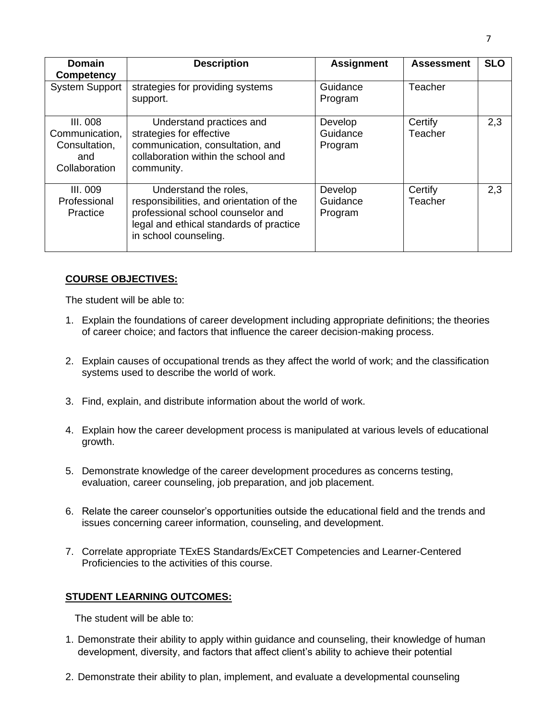| <b>Domain</b><br><b>Competency</b>                                         | <b>Description</b>                                                                                                                                                         | <b>Assignment</b>              | <b>Assessment</b>  | <b>SLO</b> |
|----------------------------------------------------------------------------|----------------------------------------------------------------------------------------------------------------------------------------------------------------------------|--------------------------------|--------------------|------------|
| <b>System Support</b>                                                      | strategies for providing systems<br>support.                                                                                                                               | Guidance<br>Program            | Teacher            |            |
| <b>III. 008</b><br>Communication,<br>Consultation,<br>and<br>Collaboration | Understand practices and<br>strategies for effective<br>communication, consultation, and<br>collaboration within the school and<br>community.                              | Develop<br>Guidance<br>Program | Certify<br>Teacher | 2,3        |
| III. 009<br>Professional<br>Practice                                       | Understand the roles,<br>responsibilities, and orientation of the<br>professional school counselor and<br>legal and ethical standards of practice<br>in school counseling. | Develop<br>Guidance<br>Program | Certify<br>Teacher | 2,3        |

## **COURSE OBJECTIVES:**

The student will be able to:

- 1. Explain the foundations of career development including appropriate definitions; the theories of career choice; and factors that influence the career decision-making process.
- 2. Explain causes of occupational trends as they affect the world of work; and the classification systems used to describe the world of work.
- 3. Find, explain, and distribute information about the world of work.
- 4. Explain how the career development process is manipulated at various levels of educational growth.
- 5. Demonstrate knowledge of the career development procedures as concerns testing, evaluation, career counseling, job preparation, and job placement.
- 6. Relate the career counselor's opportunities outside the educational field and the trends and issues concerning career information, counseling, and development.
- 7. Correlate appropriate TExES Standards/ExCET Competencies and Learner-Centered Proficiencies to the activities of this course.

## **STUDENT LEARNING OUTCOMES:**

The student will be able to:

- 1. Demonstrate their ability to apply within guidance and counseling, their knowledge of human development, diversity, and factors that affect client's ability to achieve their potential
- 2. Demonstrate their ability to plan, implement, and evaluate a developmental counseling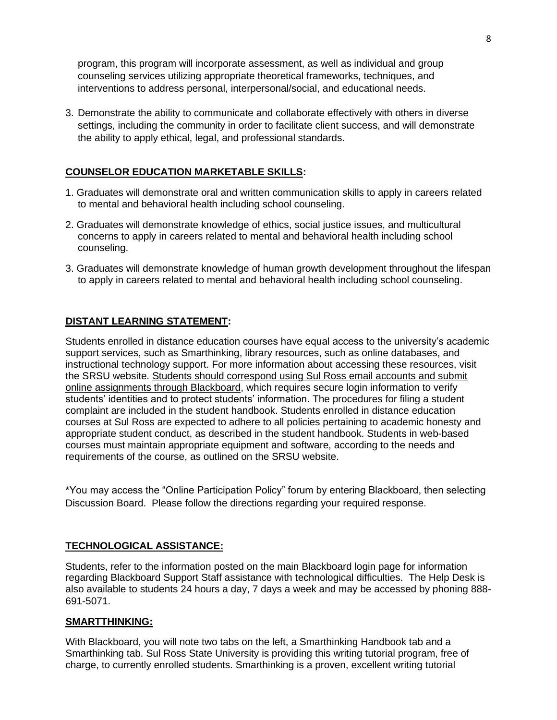program, this program will incorporate assessment, as well as individual and group counseling services utilizing appropriate theoretical frameworks, techniques, and interventions to address personal, interpersonal/social, and educational needs.

3. Demonstrate the ability to communicate and collaborate effectively with others in diverse settings, including the community in order to facilitate client success, and will demonstrate the ability to apply ethical, legal, and professional standards.

### **COUNSELOR EDUCATION MARKETABLE SKILLS:**

- 1. Graduates will demonstrate oral and written communication skills to apply in careers related to mental and behavioral health including school counseling.
- 2. Graduates will demonstrate knowledge of ethics, social justice issues, and multicultural concerns to apply in careers related to mental and behavioral health including school counseling.
- 3. Graduates will demonstrate knowledge of human growth development throughout the lifespan to apply in careers related to mental and behavioral health including school counseling.

### **DISTANT LEARNING STATEMENT:**

Students enrolled in distance education courses have equal access to the university's academic support services, such as Smarthinking, library resources, such as online databases, and instructional technology support. For more information about accessing these resources, visit the SRSU website. Students should correspond using Sul Ross email accounts and submit online assignments through Blackboard, which requires secure login information to verify students' identities and to protect students' information. The procedures for filing a student complaint are included in the student handbook. Students enrolled in distance education courses at Sul Ross are expected to adhere to all policies pertaining to academic honesty and appropriate student conduct, as described in the student handbook. Students in web-based courses must maintain appropriate equipment and software, according to the needs and requirements of the course, as outlined on the SRSU website.

\*You may access the "Online Participation Policy" forum by entering Blackboard, then selecting Discussion Board. Please follow the directions regarding your required response.

#### **TECHNOLOGICAL ASSISTANCE:**

Students, refer to the information posted on the main Blackboard login page for information regarding Blackboard Support Staff assistance with technological difficulties. The Help Desk is also available to students 24 hours a day, 7 days a week and may be accessed by phoning 888- 691-5071.

#### **SMARTTHINKING:**

With Blackboard, you will note two tabs on the left, a Smarthinking Handbook tab and a Smarthinking tab. Sul Ross State University is providing this writing tutorial program, free of charge, to currently enrolled students. Smarthinking is a proven, excellent writing tutorial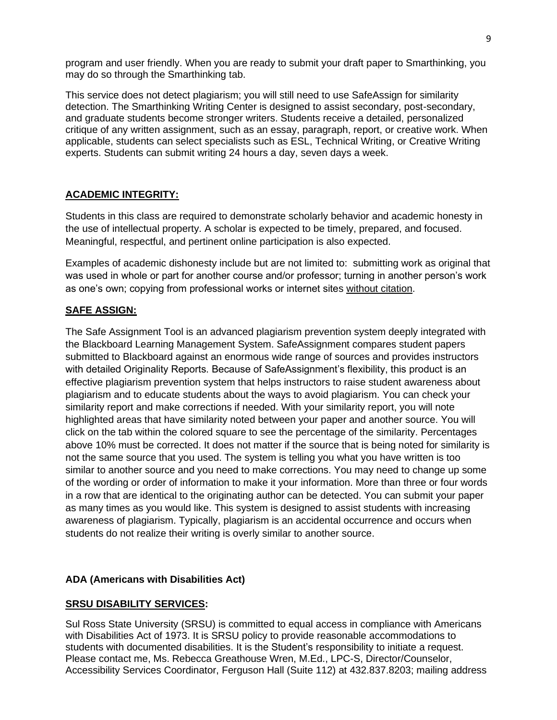program and user friendly. When you are ready to submit your draft paper to Smarthinking, you may do so through the Smarthinking tab.

This service does not detect plagiarism; you will still need to use SafeAssign for similarity detection. The Smarthinking Writing Center is designed to assist secondary, post-secondary, and graduate students become stronger writers. Students receive a detailed, personalized critique of any written assignment, such as an essay, paragraph, report, or creative work. When applicable, students can select specialists such as ESL, Technical Writing, or Creative Writing experts. Students can submit writing 24 hours a day, seven days a week.

# **ACADEMIC INTEGRITY:**

Students in this class are required to demonstrate scholarly behavior and academic honesty in the use of intellectual property. A scholar is expected to be timely, prepared, and focused. Meaningful, respectful, and pertinent online participation is also expected.

Examples of academic dishonesty include but are not limited to: submitting work as original that was used in whole or part for another course and/or professor; turning in another person's work as one's own; copying from professional works or internet sites without citation.

# **SAFE ASSIGN:**

The Safe Assignment Tool is an advanced plagiarism prevention system deeply integrated with the Blackboard Learning Management System. SafeAssignment compares student papers submitted to Blackboard against an enormous wide range of sources and provides instructors with detailed Originality Reports. Because of SafeAssignment's flexibility, this product is an effective plagiarism prevention system that helps instructors to raise student awareness about plagiarism and to educate students about the ways to avoid plagiarism. You can check your similarity report and make corrections if needed. With your similarity report, you will note highlighted areas that have similarity noted between your paper and another source. You will click on the tab within the colored square to see the percentage of the similarity. Percentages above 10% must be corrected. It does not matter if the source that is being noted for similarity is not the same source that you used. The system is telling you what you have written is too similar to another source and you need to make corrections. You may need to change up some of the wording or order of information to make it your information. More than three or four words in a row that are identical to the originating author can be detected. You can submit your paper as many times as you would like. This system is designed to assist students with increasing awareness of plagiarism. Typically, plagiarism is an accidental occurrence and occurs when students do not realize their writing is overly similar to another source.

## **ADA (Americans with Disabilities Act)**

## **SRSU DISABILITY SERVICES:**

Sul Ross State University (SRSU) is committed to equal access in compliance with Americans with Disabilities Act of 1973. It is SRSU policy to provide reasonable accommodations to students with documented disabilities. It is the Student's responsibility to initiate a request. Please contact me, Ms. Rebecca Greathouse Wren, M.Ed., LPC-S, Director/Counselor, Accessibility Services Coordinator, Ferguson Hall (Suite 112) at 432.837.8203; mailing address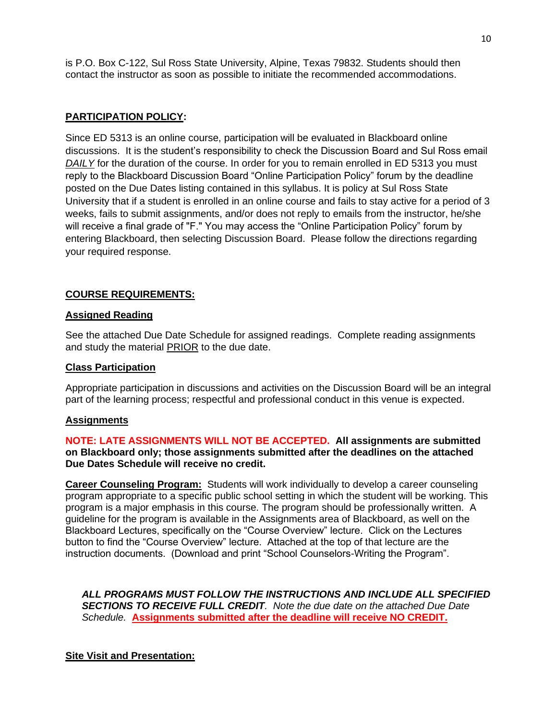is P.O. Box C-122, Sul Ross State University, Alpine, Texas 79832. Students should then contact the instructor as soon as possible to initiate the recommended accommodations.

# **PARTICIPATION POLICY:**

Since ED 5313 is an online course, participation will be evaluated in Blackboard online discussions. It is the student's responsibility to check the Discussion Board and Sul Ross email *DAILY* for the duration of the course. In order for you to remain enrolled in ED 5313 you must reply to the Blackboard Discussion Board "Online Participation Policy" forum by the deadline posted on the Due Dates listing contained in this syllabus. It is policy at Sul Ross State University that if a student is enrolled in an online course and fails to stay active for a period of 3 weeks, fails to submit assignments, and/or does not reply to emails from the instructor, he/she will receive a final grade of "F." You may access the "Online Participation Policy" forum by entering Blackboard, then selecting Discussion Board. Please follow the directions regarding your required response.

# **COURSE REQUIREMENTS:**

### **Assigned Reading**

See the attached Due Date Schedule for assigned readings. Complete reading assignments and study the material PRIOR to the due date.

#### **Class Participation**

Appropriate participation in discussions and activities on the Discussion Board will be an integral part of the learning process; respectful and professional conduct in this venue is expected.

#### **Assignments**

**NOTE: LATE ASSIGNMENTS WILL NOT BE ACCEPTED. All assignments are submitted on Blackboard only; those assignments submitted after the deadlines on the attached Due Dates Schedule will receive no credit.**

**Career Counseling Program:** Students will work individually to develop a career counseling program appropriate to a specific public school setting in which the student will be working. This program is a major emphasis in this course. The program should be professionally written. A guideline for the program is available in the Assignments area of Blackboard, as well on the Blackboard Lectures, specifically on the "Course Overview" lecture. Click on the Lectures button to find the "Course Overview" lecture. Attached at the top of that lecture are the instruction documents. (Download and print "School Counselors-Writing the Program".

*ALL PROGRAMS MUST FOLLOW THE INSTRUCTIONS AND INCLUDE ALL SPECIFIED SECTIONS TO RECEIVE FULL CREDIT. Note the due date on the attached Due Date Schedule.* **Assignments submitted after the deadline will receive NO CREDIT.**

## **Site Visit and Presentation:**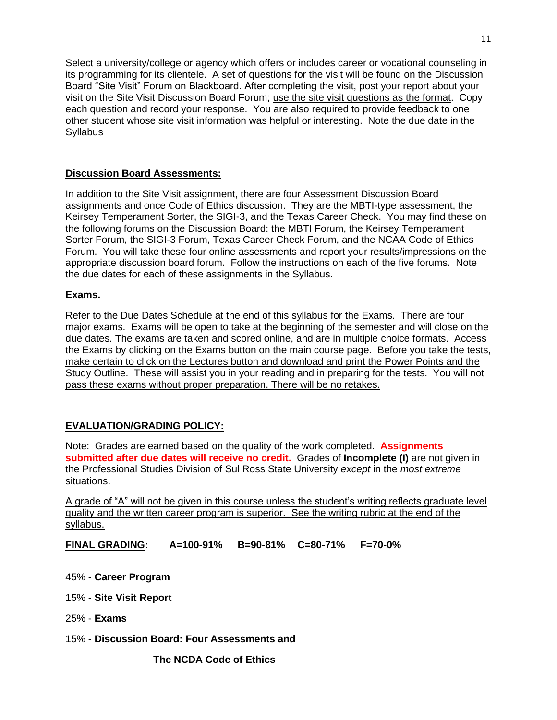Select a university/college or agency which offers or includes career or vocational counseling in its programming for its clientele. A set of questions for the visit will be found on the Discussion Board "Site Visit" Forum on Blackboard. After completing the visit, post your report about your visit on the Site Visit Discussion Board Forum; use the site visit questions as the format. Copy each question and record your response. You are also required to provide feedback to one other student whose site visit information was helpful or interesting. Note the due date in the **Syllabus** 

### **Discussion Board Assessments:**

In addition to the Site Visit assignment, there are four Assessment Discussion Board assignments and once Code of Ethics discussion. They are the MBTI-type assessment, the Keirsey Temperament Sorter, the SIGI-3, and the Texas Career Check. You may find these on the following forums on the Discussion Board: the MBTI Forum, the Keirsey Temperament Sorter Forum, the SIGI-3 Forum, Texas Career Check Forum, and the NCAA Code of Ethics Forum. You will take these four online assessments and report your results/impressions on the appropriate discussion board forum. Follow the instructions on each of the five forums. Note the due dates for each of these assignments in the Syllabus.

#### **Exams.**

Refer to the Due Dates Schedule at the end of this syllabus for the Exams. There are four major exams. Exams will be open to take at the beginning of the semester and will close on the due dates. The exams are taken and scored online, and are in multiple choice formats. Access the Exams by clicking on the Exams button on the main course page. Before you take the tests, make certain to click on the Lectures button and download and print the Power Points and the Study Outline. These will assist you in your reading and in preparing for the tests. You will not pass these exams without proper preparation. There will be no retakes.

## **EVALUATION/GRADING POLICY:**

Note: Grades are earned based on the quality of the work completed. **Assignments submitted after due dates will receive no credit.** Grades of **Incomplete (I)** are not given in the Professional Studies Division of Sul Ross State University *except* in the *most extreme*  situations.

A grade of "A" will not be given in this course unless the student's writing reflects graduate level quality and the written career program is superior. See the writing rubric at the end of the syllabus.

**FINAL GRADING: A=100-91% B=90-81% C=80-71% F=70-0%**

- 45% **Career Program**
- 15% **Site Visit Report**
- 25% **Exams**
- 15% **Discussion Board: Four Assessments and**

 **The NCDA Code of Ethics**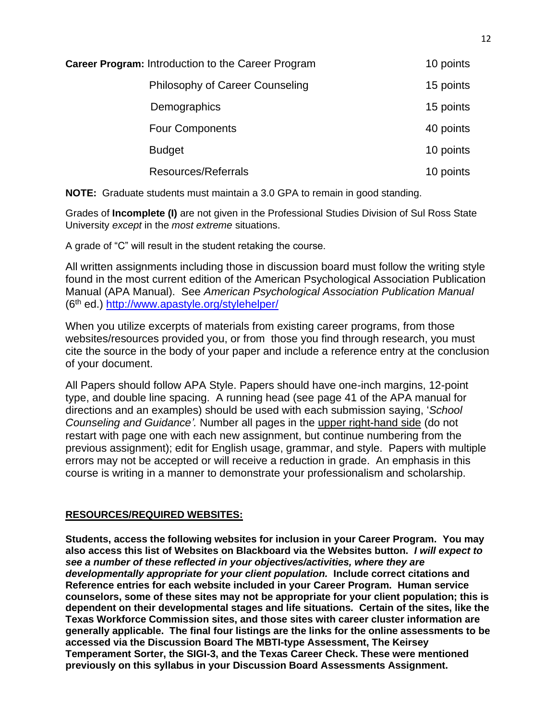| <b>Career Program: Introduction to the Career Program</b> | 10 points |
|-----------------------------------------------------------|-----------|
| Philosophy of Career Counseling                           | 15 points |
| Demographics                                              | 15 points |
| <b>Four Components</b>                                    | 40 points |
| <b>Budget</b>                                             | 10 points |
| Resources/Referrals                                       | 10 points |

**NOTE:** Graduate students must maintain a 3.0 GPA to remain in good standing.

Grades of **Incomplete (I)** are not given in the Professional Studies Division of Sul Ross State University *except* in the *most extreme* situations.

A grade of "C" will result in the student retaking the course.

All written assignments including those in discussion board must follow the writing style found in the most current edition of the American Psychological Association Publication Manual (APA Manual). See *American Psychological Association Publication Manual* (6th ed.)<http://www.apastyle.org/stylehelper/>

When you utilize excerpts of materials from existing career programs, from those websites/resources provided you, or from those you find through research, you must cite the source in the body of your paper and include a reference entry at the conclusion of your document.

All Papers should follow APA Style. Papers should have one-inch margins, 12-point type, and double line spacing. A running head (see page 41 of the APA manual for directions and an examples) should be used with each submission saying, '*School Counseling and Guidance'.* Number all pages in the upper right-hand side (do not restart with page one with each new assignment, but continue numbering from the previous assignment); edit for English usage, grammar, and style. Papers with multiple errors may not be accepted or will receive a reduction in grade. An emphasis in this course is writing in a manner to demonstrate your professionalism and scholarship.

## **RESOURCES/REQUIRED WEBSITES:**

**Students, access the following websites for inclusion in your Career Program. You may also access this list of Websites on Blackboard via the Websites button.** *I will expect to see a number of these reflected in your objectives/activities, where they are developmentally appropriate for your client population.* **Include correct citations and Reference entries for each website included in your Career Program. Human service counselors, some of these sites may not be appropriate for your client population; this is dependent on their developmental stages and life situations. Certain of the sites, like the Texas Workforce Commission sites, and those sites with career cluster information are generally applicable. The final four listings are the links for the online assessments to be accessed via the Discussion Board The MBTI-type Assessment, The Keirsey Temperament Sorter, the SIGI-3, and the Texas Career Check. These were mentioned previously on this syllabus in your Discussion Board Assessments Assignment.**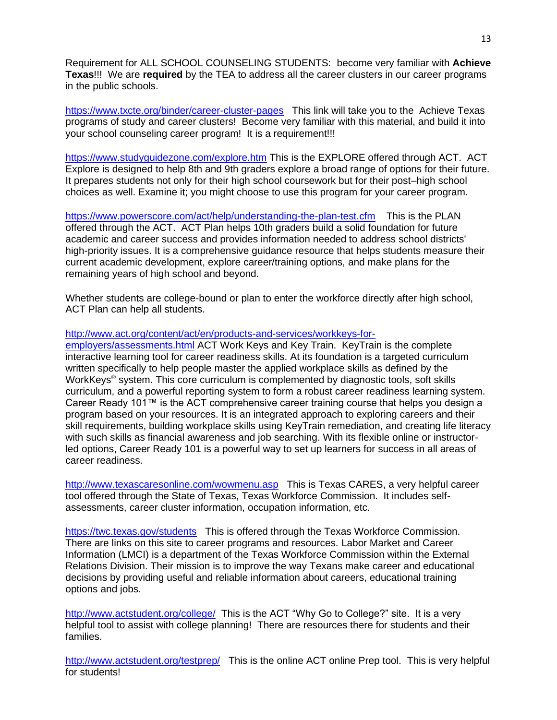Requirement for ALL SCHOOL COUNSELING STUDENTS: become very familiar with **Achieve Texas**!!! We are **required** by the TEA to address all the career clusters in our career programs in the public schools.

<https://www.txcte.org/binder/career-cluster-pages>This link will take you to the Achieve Texas programs of study and career clusters! Become very familiar with this material, and build it into your school counseling career program! It is a requirement!!!

<https://www.studyguidezone.com/explore.htm> This is the EXPLORE offered through ACT. ACT Explore is designed to help 8th and 9th graders explore a broad range of options for their future. It prepares students not only for their high school coursework but for their post–high school choices as well. Examine it; you might choose to use this program for your career program.

<https://www.powerscore.com/act/help/understanding-the-plan-test.cfm> This is the PLAN offered through the ACT. ACT Plan helps 10th graders build a solid foundation for future academic and career success and provides information needed to address school districts' high-priority issues. It is a comprehensive guidance resource that helps students measure their current academic development, explore career/training options, and make plans for the remaining years of high school and beyond.

Whether students are college-bound or plan to enter the workforce directly after high school, ACT Plan can help all students.

#### [http://www.act.org/content/act/en/products-and-services/workkeys-for-](http://www.act.org/content/act/en/products-and-services/workkeys-for-employers/assessments.html)

[employers/assessments.html](http://www.act.org/content/act/en/products-and-services/workkeys-for-employers/assessments.html) ACT Work Keys and Key Train. KeyTrain is the complete interactive learning tool for career readiness skills. At its foundation is a targeted curriculum written specifically to help people master the applied workplace skills as defined by the WorkKeys<sup>®</sup> system. This core curriculum is complemented by diagnostic tools, soft skills curriculum, and a powerful reporting system to form a robust career readiness learning system. Career Ready 101™ is the ACT comprehensive career training course that helps you design a program based on your resources. It is an integrated approach to exploring careers and their skill requirements, building workplace skills using KeyTrain remediation, and creating life literacy with such skills as financial awareness and job searching. With its flexible online or instructorled options, Career Ready 101 is a powerful way to set up learners for success in all areas of career readiness.

<http://www.texascaresonline.com/wowmenu.asp> This is Texas CARES, a very helpful career tool offered through the State of Texas, Texas Workforce Commission. It includes selfassessments, career cluster information, occupation information, etc.

<https://twc.texas.gov/students>This is offered through the Texas Workforce Commission. There are links on this site to career programs and resources. Labor Market and Career Information (LMCI) is a department of the Texas Workforce Commission within the External Relations Division. Their mission is to improve the way Texans make career and educational decisions by providing useful and reliable information about careers, educational training options and jobs.

<http://www.actstudent.org/college/>This is the ACT "Why Go to College?" site. It is a very helpful tool to assist with college planning! There are resources there for students and their families.

<http://www.actstudent.org/testprep/> This is the online ACT online Prep tool. This is very helpful for students!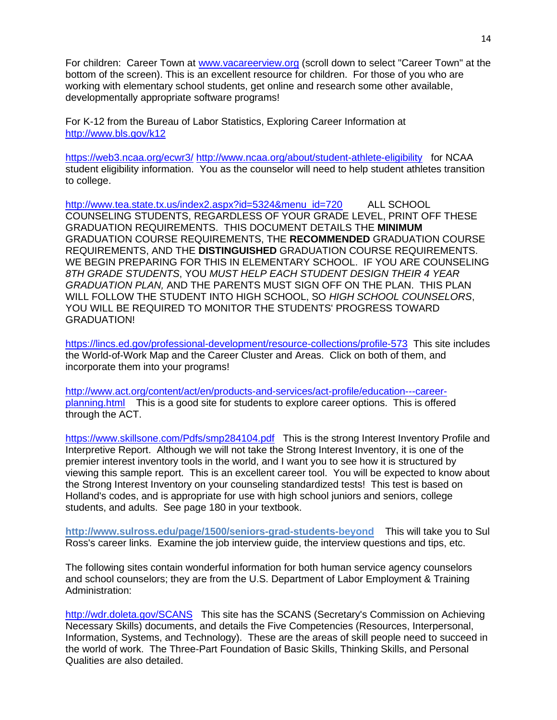For children: Career Town at [www.vacareerview.org](http://www.vacareerview.org/) (scroll down to select "Career Town" at the bottom of the screen). This is an excellent resource for children. For those of you who are working with elementary school students, get online and research some other available, developmentally appropriate software programs!

For K-12 from the Bureau of Labor Statistics, Exploring Career Information at <http://www.bls.gov/k12>

<https://web3.ncaa.org/ecwr3/> <http://www.ncaa.org/about/student-athlete-eligibility>for NCAA student eligibility information. You as the counselor will need to help student athletes transition to college.

[http://www.tea.state.tx.us/index2.aspx?id=5324&menu\\_id=720](http://www.tea.state.tx.us/index2.aspx?id=5324&menu_id=720) ALL SCHOOL COUNSELING STUDENTS, REGARDLESS OF YOUR GRADE LEVEL, PRINT OFF THESE GRADUATION REQUIREMENTS. THIS DOCUMENT DETAILS THE **MINIMUM** GRADUATION COURSE REQUIREMENTS, THE **RECOMMENDED** GRADUATION COURSE REQUIREMENTS, AND THE **DISTINGUISHED** GRADUATION COURSE REQUIREMENTS. WE BEGIN PREPARING FOR THIS IN ELEMENTARY SCHOOL. IF YOU ARE COUNSELING *8TH GRADE STUDENTS*, YOU *MUST HELP EACH STUDENT DESIGN THEIR 4 YEAR GRADUATION PLAN,* AND THE PARENTS MUST SIGN OFF ON THE PLAN. THIS PLAN WILL FOLLOW THE STUDENT INTO HIGH SCHOOL, SO *HIGH SCHOOL COUNSELORS*, YOU WILL BE REQUIRED TO MONITOR THE STUDENTS' PROGRESS TOWARD GRADUATION!

<https://lincs.ed.gov/professional-development/resource-collections/profile-573> This site includes the World-of-Work Map and the Career Cluster and Areas. Click on both of them, and incorporate them into your programs!

[http://www.act.org/content/act/en/products-and-services/act-profile/education---career](http://www.act.org/content/act/en/products-and-services/act-profile/education---career-planning.html)[planning.html](http://www.act.org/content/act/en/products-and-services/act-profile/education---career-planning.html) This is a good site for students to explore career options. This is offered through the ACT.

<https://www.skillsone.com/Pdfs/smp284104.pdf>This is the strong Interest Inventory Profile and Interpretive Report. Although we will not take the Strong Interest Inventory, it is one of the premier interest inventory tools in the world, and I want you to see how it is structured by viewing this sample report. This is an excellent career tool. You will be expected to know about the Strong Interest Inventory on your counseling standardized tests! This test is based on Holland's codes, and is appropriate for use with high school juniors and seniors, college students, and adults. See page 180 in your textbook.

**http://www.sulross.edu/page/1500/seniors-grad-students-beyond** This will take you to Sul Ross's career links. Examine the job interview guide, the interview questions and tips, etc.

The following sites contain wonderful information for both human service agency counselors and school counselors; they are from the U.S. Department of Labor Employment & Training Administration:

<http://wdr.doleta.gov/SCANS> This site has the SCANS (Secretary's Commission on Achieving Necessary Skills) documents, and details the Five Competencies (Resources, Interpersonal, Information, Systems, and Technology). These are the areas of skill people need to succeed in the world of work. The Three-Part Foundation of Basic Skills, Thinking Skills, and Personal Qualities are also detailed.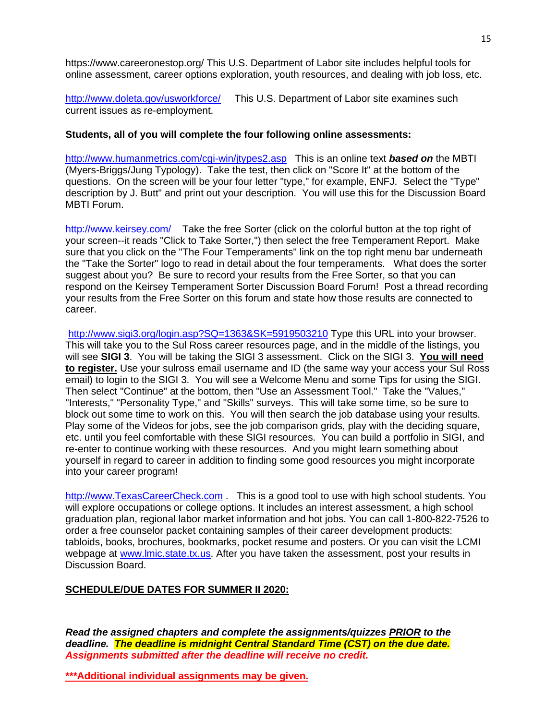https://www.careeronestop.org/ This U.S. Department of Labor site includes helpful tools for online assessment, career options exploration, youth resources, and dealing with job loss, etc.

<http://www.doleta.gov/usworkforce/> This U.S. Department of Labor site examines such current issues as re-employment.

#### **Students, all of you will complete the four following online assessments:**

[http://www.humanmetrics.com/cgi-win/jtypes2.asp](http://www.humanmetrics.com/cgi-win/JTypes2.asp) This is an online text *based on* the MBTI (Myers-Briggs/Jung Typology). Take the test, then click on "Score It" at the bottom of the questions. On the screen will be your four letter "type," for example, ENFJ. Select the "Type" description by J. Butt" and print out your description. You will use this for the Discussion Board MBTI Forum.

<http://www.keirsey.com/>Take the free Sorter (click on the colorful button at the top right of your screen--it reads "Click to Take Sorter,") then select the free Temperament Report. Make sure that you click on the "The Four Temperaments" link on the top right menu bar underneath the "Take the Sorter" logo to read in detail about the four temperaments. What does the sorter suggest about you? Be sure to record your results from the Free Sorter, so that you can respond on the Keirsey Temperament Sorter Discussion Board Forum! Post a thread recording your results from the Free Sorter on this forum and state how those results are connected to career.

<http://www.sigi3.org/login.asp?SQ=1363&SK=5919503210> Type this URL into your browser. This will take you to the Sul Ross career resources page, and in the middle of the listings, you will see **SIGI 3**. You will be taking the SIGI 3 assessment. Click on the SIGI 3. **You will need to register.** Use your sulross email username and ID (the same way your access your Sul Ross email) to login to the SIGI 3. You will see a Welcome Menu and some Tips for using the SIGI. Then select "Continue" at the bottom, then "Use an Assessment Tool." Take the "Values," "Interests," "Personality Type," and "Skills" surveys. This will take some time, so be sure to block out some time to work on this. You will then search the job database using your results. Play some of the Videos for jobs, see the job comparison grids, play with the deciding square, etc. until you feel comfortable with these SIGI resources. You can build a portfolio in SIGI, and re-enter to continue working with these resources. And you might learn something about yourself in regard to career in addition to finding some good resources you might incorporate into your career program!

[http://www.TexasCareerCheck.com](http://www.texascareercheck.com/) . This is a good tool to use with high school students. You will explore occupations or college options. It includes an interest assessment, a high school graduation plan, regional labor market information and hot jobs. You can call 1-800-822-7526 to order a free counselor packet containing samples of their career development products: tabloids, books, brochures, bookmarks, pocket resume and posters. Or you can visit the LCMI webpage at [www.lmic.state.tx.us.](http://www.lmic.state.tx.us/) After you have taken the assessment, post your results in Discussion Board.

#### **SCHEDULE/DUE DATES FOR SUMMER II 2020:**

*Read the assigned chapters and complete the assignments/quizzes PRIOR to the deadline. The deadline is midnight Central Standard Time (CST) on the due date. Assignments submitted after the deadline will receive no credit.*

**\*\*\*Additional individual assignments may be given.**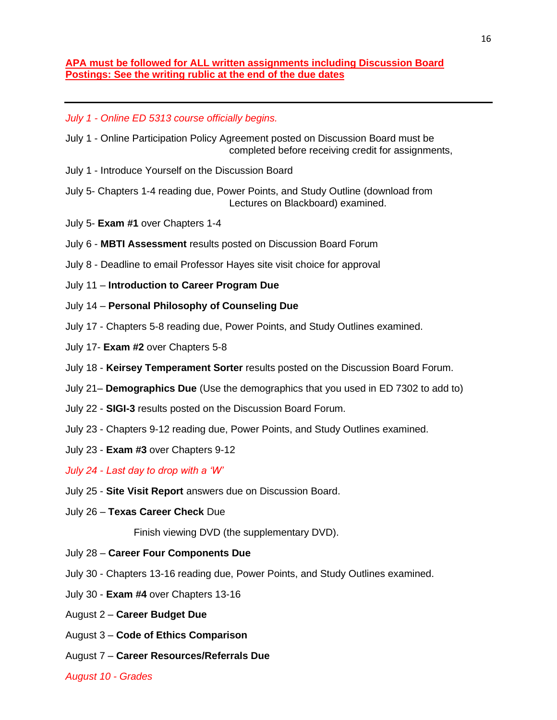### **APA must be followed for ALL written assignments including Discussion Board Postings: See the writing rublic at the end of the due dates**

*July 1 - Online ED 5313 course officially begins.* 

- July 1 Online Participation Policy Agreement posted on Discussion Board must be completed before receiving credit for assignments,
- July 1 Introduce Yourself on the Discussion Board
- July 5- Chapters 1-4 reading due, Power Points, and Study Outline (download from Lectures on Blackboard) examined.
- July 5- **Exam #1** over Chapters 1-4
- July 6 **MBTI Assessment** results posted on Discussion Board Forum
- July 8 Deadline to email Professor Hayes site visit choice for approval
- July 11 **Introduction to Career Program Due**
- July 14 **Personal Philosophy of Counseling Due**
- July 17 Chapters 5-8 reading due, Power Points, and Study Outlines examined.
- July 17- **Exam #2** over Chapters 5-8
- July 18 **Keirsey Temperament Sorter** results posted on the Discussion Board Forum.
- July 21– **Demographics Due** (Use the demographics that you used in ED 7302 to add to)
- July 22 **SIGI-3** results posted on the Discussion Board Forum.
- July 23 Chapters 9-12 reading due, Power Points, and Study Outlines examined.
- July 23 **Exam #3** over Chapters 9-12

*July 24 - Last day to drop with a 'W'*

- July 25 **Site Visit Report** answers due on Discussion Board.
- July 26 **Texas Career Check** Due

Finish viewing DVD (the supplementary DVD).

- July 28 **Career Four Components Due**
- July 30 Chapters 13-16 reading due, Power Points, and Study Outlines examined.
- July 30 **Exam #4** over Chapters 13-16
- August 2 **Career Budget Due**
- August 3 **Code of Ethics Comparison**
- August 7 **Career Resources/Referrals Due**

*August 10 - Grades*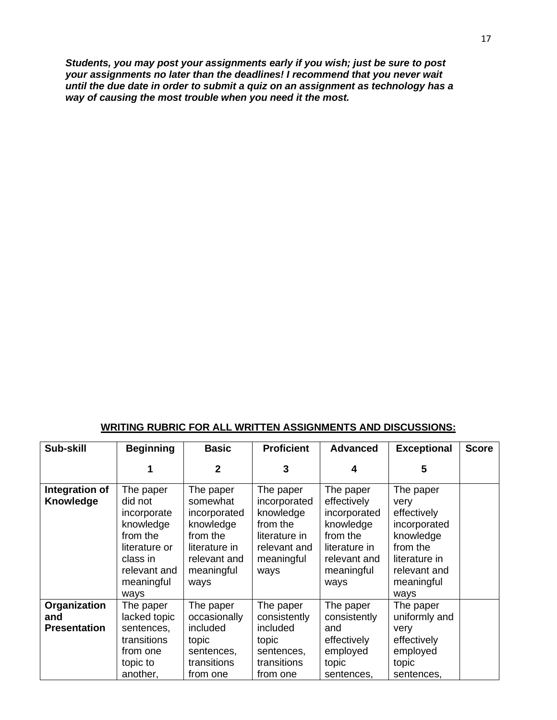*Students, you may post your assignments early if you wish; just be sure to post your assignments no later than the deadlines! I recommend that you never wait until the due date in order to submit a quiz on an assignment as technology has a way of causing the most trouble when you need it the most.* 

### **WRITING RUBRIC FOR ALL WRITTEN ASSIGNMENTS AND DISCUSSIONS:**

| Sub-skill                                  | <b>Beginning</b>                                                                                                                | <b>Basic</b>                                                                                                          | <b>Proficient</b>                                                                                         | <b>Advanced</b>                                                                                                          | <b>Exceptional</b>                                                                                                               | <b>Score</b> |
|--------------------------------------------|---------------------------------------------------------------------------------------------------------------------------------|-----------------------------------------------------------------------------------------------------------------------|-----------------------------------------------------------------------------------------------------------|--------------------------------------------------------------------------------------------------------------------------|----------------------------------------------------------------------------------------------------------------------------------|--------------|
|                                            |                                                                                                                                 | $\mathbf{2}$                                                                                                          | 3                                                                                                         | 4                                                                                                                        | 5                                                                                                                                |              |
| Integration of<br>Knowledge                | The paper<br>did not<br>incorporate<br>knowledge<br>from the<br>literature or<br>class in<br>relevant and<br>meaningful<br>ways | The paper<br>somewhat<br>incorporated<br>knowledge<br>from the<br>literature in<br>relevant and<br>meaningful<br>ways | The paper<br>incorporated<br>knowledge<br>from the<br>literature in<br>relevant and<br>meaningful<br>ways | The paper<br>effectively<br>incorporated<br>knowledge<br>from the<br>literature in<br>relevant and<br>meaningful<br>ways | The paper<br>very<br>effectively<br>incorporated<br>knowledge<br>from the<br>literature in<br>relevant and<br>meaningful<br>ways |              |
| Organization<br>and<br><b>Presentation</b> | The paper<br>lacked topic<br>sentences,<br>transitions<br>from one<br>topic to<br>another,                                      | The paper<br>occasionally<br>included<br>topic<br>sentences,<br>transitions<br>from one                               | The paper<br>consistently<br>included<br>topic<br>sentences,<br>transitions<br>from one                   | The paper<br>consistently<br>and<br>effectively<br>employed<br>topic<br>sentences,                                       | The paper<br>uniformly and<br>very<br>effectively<br>employed<br>topic<br>sentences,                                             |              |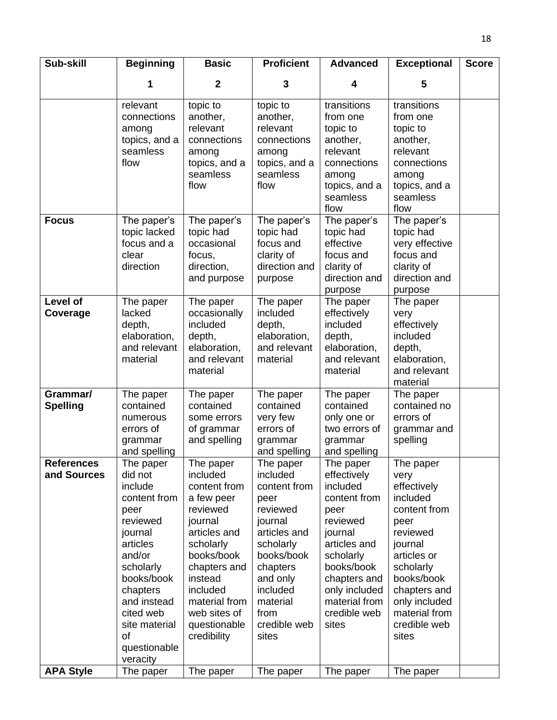| Sub-skill                        | <b>Beginning</b>                                                                                                                                                                                                           | <b>Basic</b>                                                                                                                                                                                                                 | <b>Proficient</b>                                                                                                                                                                                | <b>Advanced</b>                                                                                                                                                                                           | <b>Exceptional</b>                                                                                                                                                                                               | <b>Score</b> |
|----------------------------------|----------------------------------------------------------------------------------------------------------------------------------------------------------------------------------------------------------------------------|------------------------------------------------------------------------------------------------------------------------------------------------------------------------------------------------------------------------------|--------------------------------------------------------------------------------------------------------------------------------------------------------------------------------------------------|-----------------------------------------------------------------------------------------------------------------------------------------------------------------------------------------------------------|------------------------------------------------------------------------------------------------------------------------------------------------------------------------------------------------------------------|--------------|
|                                  | 1                                                                                                                                                                                                                          | $\mathbf{2}$                                                                                                                                                                                                                 | 3                                                                                                                                                                                                | 4                                                                                                                                                                                                         | 5                                                                                                                                                                                                                |              |
|                                  | relevant<br>connections<br>among<br>topics, and a<br>seamless<br>flow                                                                                                                                                      | topic to<br>another,<br>relevant<br>connections<br>among<br>topics, and a<br>seamless<br>flow                                                                                                                                | topic to<br>another,<br>relevant<br>connections<br>among<br>topics, and a<br>seamless<br>flow                                                                                                    | transitions<br>from one<br>topic to<br>another,<br>relevant<br>connections<br>among<br>topics, and a<br>seamless<br>flow                                                                                  | transitions<br>from one<br>topic to<br>another,<br>relevant<br>connections<br>among<br>topics, and a<br>seamless<br>flow                                                                                         |              |
| <b>Focus</b>                     | The paper's<br>topic lacked<br>focus and a<br>clear<br>direction                                                                                                                                                           | The paper's<br>topic had<br>occasional<br>focus,<br>direction,<br>and purpose                                                                                                                                                | The paper's<br>topic had<br>focus and<br>clarity of<br>direction and<br>purpose                                                                                                                  | The paper's<br>topic had<br>effective<br>focus and<br>clarity of<br>direction and<br>purpose                                                                                                              | The paper's<br>topic had<br>very effective<br>focus and<br>clarity of<br>direction and<br>purpose                                                                                                                |              |
| <b>Level of</b><br>Coverage      | The paper<br>lacked<br>depth,<br>elaboration,<br>and relevant<br>material                                                                                                                                                  | The paper<br>occasionally<br>included<br>depth,<br>elaboration,<br>and relevant<br>material                                                                                                                                  | The paper<br>included<br>depth,<br>elaboration,<br>and relevant<br>material                                                                                                                      | The paper<br>effectively<br>included<br>depth,<br>elaboration,<br>and relevant<br>material                                                                                                                | The paper<br>very<br>effectively<br>included<br>depth,<br>elaboration,<br>and relevant<br>material                                                                                                               |              |
| Grammar/<br><b>Spelling</b>      | The paper<br>contained<br>numerous<br>errors of<br>grammar<br>and spelling                                                                                                                                                 | The paper<br>contained<br>some errors<br>of grammar<br>and spelling                                                                                                                                                          | The paper<br>contained<br>very few<br>errors of<br>grammar<br>and spelling                                                                                                                       | The paper<br>contained<br>only one or<br>two errors of<br>grammar<br>and spelling                                                                                                                         | The paper<br>contained no<br>errors of<br>grammar and<br>spelling                                                                                                                                                |              |
| <b>References</b><br>and Sources | The paper<br>did not<br>include<br>content from<br>peer<br>reviewed<br>journal<br>articles<br>and/or<br>scholarly<br>books/book<br>chapters<br>and instead<br>cited web<br>site material<br>of<br>questionable<br>veracity | The paper<br>included<br>content from<br>a few peer<br>reviewed<br>journal<br>articles and<br>scholarly<br>books/book<br>chapters and<br>instead<br>included<br>material from<br>web sites of<br>questionable<br>credibility | The paper<br>included<br>content from<br>peer<br>reviewed<br>journal<br>articles and<br>scholarly<br>books/book<br>chapters<br>and only<br>included<br>material<br>from<br>credible web<br>sites | The paper<br>effectively<br>included<br>content from<br>peer<br>reviewed<br>journal<br>articles and<br>scholarly<br>books/book<br>chapters and<br>only included<br>material from<br>credible web<br>sites | The paper<br>very<br>effectively<br>included<br>content from<br>peer<br>reviewed<br>journal<br>articles or<br>scholarly<br>books/book<br>chapters and<br>only included<br>material from<br>credible web<br>sites |              |
| <b>APA Style</b>                 | The paper                                                                                                                                                                                                                  | The paper                                                                                                                                                                                                                    | The paper                                                                                                                                                                                        | The paper                                                                                                                                                                                                 | The paper                                                                                                                                                                                                        |              |